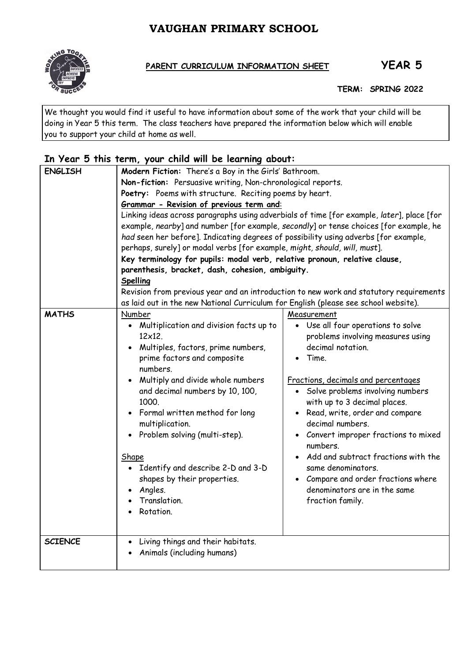# **VAUGHAN PRIMARY SCHOOL**



## PARENT CURRICULUM INFORMATION SHEET **YEAR 5**

 **TERM: SPRING 2022**

We thought you would find it useful to have information about some of the work that your child will be doing in Year 5 this term. The class teachers have prepared the information below which will enable you to support your child at home as well.

## **In Year 5 this term, your child will be learning about:**

| Non-fiction: Persuasive writing, Non-chronological reports.<br>Poetry: Poems with structure. Reciting poems by heart.<br>Grammar - Revision of previous term and:<br>Linking ideas across paragraphs using adverbials of time [for example, later], place [for<br>example, nearby] and number [for example, secondly] or tense choices [for example, he<br>had seen her before]. Indicating degrees of possibility using adverbs [for example,<br>perhaps, surely] or modal verbs [for example, might, should, will, must].<br>Key terminology for pupils: modal verb, relative pronoun, relative clause,<br>parenthesis, bracket, dash, cohesion, ambiguity.<br>Spelling<br>Revision from previous year and an introduction to new work and statutory requirements<br>as laid out in the new National Curriculum for English (please see school website).<br><b>MATHS</b><br>Number<br>Measurement<br>• Multiplication and division facts up to<br>• Use all four operations to solve<br>$12\times12$<br>problems involving measures using<br>Multiples, factors, prime numbers,<br>decimal notation.<br>prime factors and composite<br>Time.<br>numbers.<br>Multiply and divide whole numbers<br>Fractions, decimals and percentages<br>· Solve problems involving numbers<br>and decimal numbers by 10, 100,<br>1000.<br>with up to 3 decimal places.<br>• Read, write, order and compare<br>Formal written method for long<br>decimal numbers.<br>multiplication.<br>Problem solving (multi-step).<br>• Convert improper fractions to mixed<br>numbers.<br>Add and subtract fractions with the<br>Shape<br>Identify and describe 2-D and 3-D<br>same denominators.<br>• Compare and order fractions where<br>shapes by their properties.<br>denominators are in the same<br>Angles.<br>Translation.<br>fraction family.<br>Rotation. | <b>ENGLISH</b> | Modern Fiction: There's a Boy in the Girls' Bathroom. |  |  |
|------------------------------------------------------------------------------------------------------------------------------------------------------------------------------------------------------------------------------------------------------------------------------------------------------------------------------------------------------------------------------------------------------------------------------------------------------------------------------------------------------------------------------------------------------------------------------------------------------------------------------------------------------------------------------------------------------------------------------------------------------------------------------------------------------------------------------------------------------------------------------------------------------------------------------------------------------------------------------------------------------------------------------------------------------------------------------------------------------------------------------------------------------------------------------------------------------------------------------------------------------------------------------------------------------------------------------------------------------------------------------------------------------------------------------------------------------------------------------------------------------------------------------------------------------------------------------------------------------------------------------------------------------------------------------------------------------------------------------------------------------------------------------------------------------------------------------------------|----------------|-------------------------------------------------------|--|--|
|                                                                                                                                                                                                                                                                                                                                                                                                                                                                                                                                                                                                                                                                                                                                                                                                                                                                                                                                                                                                                                                                                                                                                                                                                                                                                                                                                                                                                                                                                                                                                                                                                                                                                                                                                                                                                                          |                |                                                       |  |  |
|                                                                                                                                                                                                                                                                                                                                                                                                                                                                                                                                                                                                                                                                                                                                                                                                                                                                                                                                                                                                                                                                                                                                                                                                                                                                                                                                                                                                                                                                                                                                                                                                                                                                                                                                                                                                                                          |                |                                                       |  |  |
|                                                                                                                                                                                                                                                                                                                                                                                                                                                                                                                                                                                                                                                                                                                                                                                                                                                                                                                                                                                                                                                                                                                                                                                                                                                                                                                                                                                                                                                                                                                                                                                                                                                                                                                                                                                                                                          |                |                                                       |  |  |
|                                                                                                                                                                                                                                                                                                                                                                                                                                                                                                                                                                                                                                                                                                                                                                                                                                                                                                                                                                                                                                                                                                                                                                                                                                                                                                                                                                                                                                                                                                                                                                                                                                                                                                                                                                                                                                          |                |                                                       |  |  |
|                                                                                                                                                                                                                                                                                                                                                                                                                                                                                                                                                                                                                                                                                                                                                                                                                                                                                                                                                                                                                                                                                                                                                                                                                                                                                                                                                                                                                                                                                                                                                                                                                                                                                                                                                                                                                                          |                |                                                       |  |  |
|                                                                                                                                                                                                                                                                                                                                                                                                                                                                                                                                                                                                                                                                                                                                                                                                                                                                                                                                                                                                                                                                                                                                                                                                                                                                                                                                                                                                                                                                                                                                                                                                                                                                                                                                                                                                                                          |                |                                                       |  |  |
|                                                                                                                                                                                                                                                                                                                                                                                                                                                                                                                                                                                                                                                                                                                                                                                                                                                                                                                                                                                                                                                                                                                                                                                                                                                                                                                                                                                                                                                                                                                                                                                                                                                                                                                                                                                                                                          |                |                                                       |  |  |
|                                                                                                                                                                                                                                                                                                                                                                                                                                                                                                                                                                                                                                                                                                                                                                                                                                                                                                                                                                                                                                                                                                                                                                                                                                                                                                                                                                                                                                                                                                                                                                                                                                                                                                                                                                                                                                          |                |                                                       |  |  |
|                                                                                                                                                                                                                                                                                                                                                                                                                                                                                                                                                                                                                                                                                                                                                                                                                                                                                                                                                                                                                                                                                                                                                                                                                                                                                                                                                                                                                                                                                                                                                                                                                                                                                                                                                                                                                                          |                |                                                       |  |  |
|                                                                                                                                                                                                                                                                                                                                                                                                                                                                                                                                                                                                                                                                                                                                                                                                                                                                                                                                                                                                                                                                                                                                                                                                                                                                                                                                                                                                                                                                                                                                                                                                                                                                                                                                                                                                                                          |                |                                                       |  |  |
|                                                                                                                                                                                                                                                                                                                                                                                                                                                                                                                                                                                                                                                                                                                                                                                                                                                                                                                                                                                                                                                                                                                                                                                                                                                                                                                                                                                                                                                                                                                                                                                                                                                                                                                                                                                                                                          |                |                                                       |  |  |
|                                                                                                                                                                                                                                                                                                                                                                                                                                                                                                                                                                                                                                                                                                                                                                                                                                                                                                                                                                                                                                                                                                                                                                                                                                                                                                                                                                                                                                                                                                                                                                                                                                                                                                                                                                                                                                          |                |                                                       |  |  |
|                                                                                                                                                                                                                                                                                                                                                                                                                                                                                                                                                                                                                                                                                                                                                                                                                                                                                                                                                                                                                                                                                                                                                                                                                                                                                                                                                                                                                                                                                                                                                                                                                                                                                                                                                                                                                                          |                |                                                       |  |  |
|                                                                                                                                                                                                                                                                                                                                                                                                                                                                                                                                                                                                                                                                                                                                                                                                                                                                                                                                                                                                                                                                                                                                                                                                                                                                                                                                                                                                                                                                                                                                                                                                                                                                                                                                                                                                                                          |                |                                                       |  |  |
|                                                                                                                                                                                                                                                                                                                                                                                                                                                                                                                                                                                                                                                                                                                                                                                                                                                                                                                                                                                                                                                                                                                                                                                                                                                                                                                                                                                                                                                                                                                                                                                                                                                                                                                                                                                                                                          |                |                                                       |  |  |
|                                                                                                                                                                                                                                                                                                                                                                                                                                                                                                                                                                                                                                                                                                                                                                                                                                                                                                                                                                                                                                                                                                                                                                                                                                                                                                                                                                                                                                                                                                                                                                                                                                                                                                                                                                                                                                          |                |                                                       |  |  |
|                                                                                                                                                                                                                                                                                                                                                                                                                                                                                                                                                                                                                                                                                                                                                                                                                                                                                                                                                                                                                                                                                                                                                                                                                                                                                                                                                                                                                                                                                                                                                                                                                                                                                                                                                                                                                                          |                |                                                       |  |  |
|                                                                                                                                                                                                                                                                                                                                                                                                                                                                                                                                                                                                                                                                                                                                                                                                                                                                                                                                                                                                                                                                                                                                                                                                                                                                                                                                                                                                                                                                                                                                                                                                                                                                                                                                                                                                                                          |                |                                                       |  |  |
|                                                                                                                                                                                                                                                                                                                                                                                                                                                                                                                                                                                                                                                                                                                                                                                                                                                                                                                                                                                                                                                                                                                                                                                                                                                                                                                                                                                                                                                                                                                                                                                                                                                                                                                                                                                                                                          |                |                                                       |  |  |
|                                                                                                                                                                                                                                                                                                                                                                                                                                                                                                                                                                                                                                                                                                                                                                                                                                                                                                                                                                                                                                                                                                                                                                                                                                                                                                                                                                                                                                                                                                                                                                                                                                                                                                                                                                                                                                          |                |                                                       |  |  |
|                                                                                                                                                                                                                                                                                                                                                                                                                                                                                                                                                                                                                                                                                                                                                                                                                                                                                                                                                                                                                                                                                                                                                                                                                                                                                                                                                                                                                                                                                                                                                                                                                                                                                                                                                                                                                                          |                |                                                       |  |  |
|                                                                                                                                                                                                                                                                                                                                                                                                                                                                                                                                                                                                                                                                                                                                                                                                                                                                                                                                                                                                                                                                                                                                                                                                                                                                                                                                                                                                                                                                                                                                                                                                                                                                                                                                                                                                                                          |                |                                                       |  |  |
|                                                                                                                                                                                                                                                                                                                                                                                                                                                                                                                                                                                                                                                                                                                                                                                                                                                                                                                                                                                                                                                                                                                                                                                                                                                                                                                                                                                                                                                                                                                                                                                                                                                                                                                                                                                                                                          |                |                                                       |  |  |
|                                                                                                                                                                                                                                                                                                                                                                                                                                                                                                                                                                                                                                                                                                                                                                                                                                                                                                                                                                                                                                                                                                                                                                                                                                                                                                                                                                                                                                                                                                                                                                                                                                                                                                                                                                                                                                          |                |                                                       |  |  |
|                                                                                                                                                                                                                                                                                                                                                                                                                                                                                                                                                                                                                                                                                                                                                                                                                                                                                                                                                                                                                                                                                                                                                                                                                                                                                                                                                                                                                                                                                                                                                                                                                                                                                                                                                                                                                                          |                |                                                       |  |  |
|                                                                                                                                                                                                                                                                                                                                                                                                                                                                                                                                                                                                                                                                                                                                                                                                                                                                                                                                                                                                                                                                                                                                                                                                                                                                                                                                                                                                                                                                                                                                                                                                                                                                                                                                                                                                                                          |                |                                                       |  |  |
|                                                                                                                                                                                                                                                                                                                                                                                                                                                                                                                                                                                                                                                                                                                                                                                                                                                                                                                                                                                                                                                                                                                                                                                                                                                                                                                                                                                                                                                                                                                                                                                                                                                                                                                                                                                                                                          |                |                                                       |  |  |
|                                                                                                                                                                                                                                                                                                                                                                                                                                                                                                                                                                                                                                                                                                                                                                                                                                                                                                                                                                                                                                                                                                                                                                                                                                                                                                                                                                                                                                                                                                                                                                                                                                                                                                                                                                                                                                          |                |                                                       |  |  |
|                                                                                                                                                                                                                                                                                                                                                                                                                                                                                                                                                                                                                                                                                                                                                                                                                                                                                                                                                                                                                                                                                                                                                                                                                                                                                                                                                                                                                                                                                                                                                                                                                                                                                                                                                                                                                                          |                |                                                       |  |  |
|                                                                                                                                                                                                                                                                                                                                                                                                                                                                                                                                                                                                                                                                                                                                                                                                                                                                                                                                                                                                                                                                                                                                                                                                                                                                                                                                                                                                                                                                                                                                                                                                                                                                                                                                                                                                                                          |                |                                                       |  |  |
|                                                                                                                                                                                                                                                                                                                                                                                                                                                                                                                                                                                                                                                                                                                                                                                                                                                                                                                                                                                                                                                                                                                                                                                                                                                                                                                                                                                                                                                                                                                                                                                                                                                                                                                                                                                                                                          |                |                                                       |  |  |
|                                                                                                                                                                                                                                                                                                                                                                                                                                                                                                                                                                                                                                                                                                                                                                                                                                                                                                                                                                                                                                                                                                                                                                                                                                                                                                                                                                                                                                                                                                                                                                                                                                                                                                                                                                                                                                          |                |                                                       |  |  |
|                                                                                                                                                                                                                                                                                                                                                                                                                                                                                                                                                                                                                                                                                                                                                                                                                                                                                                                                                                                                                                                                                                                                                                                                                                                                                                                                                                                                                                                                                                                                                                                                                                                                                                                                                                                                                                          | <b>SCIENCE</b> | Living things and their habitats.                     |  |  |
| Animals (including humans)                                                                                                                                                                                                                                                                                                                                                                                                                                                                                                                                                                                                                                                                                                                                                                                                                                                                                                                                                                                                                                                                                                                                                                                                                                                                                                                                                                                                                                                                                                                                                                                                                                                                                                                                                                                                               |                |                                                       |  |  |
|                                                                                                                                                                                                                                                                                                                                                                                                                                                                                                                                                                                                                                                                                                                                                                                                                                                                                                                                                                                                                                                                                                                                                                                                                                                                                                                                                                                                                                                                                                                                                                                                                                                                                                                                                                                                                                          |                |                                                       |  |  |